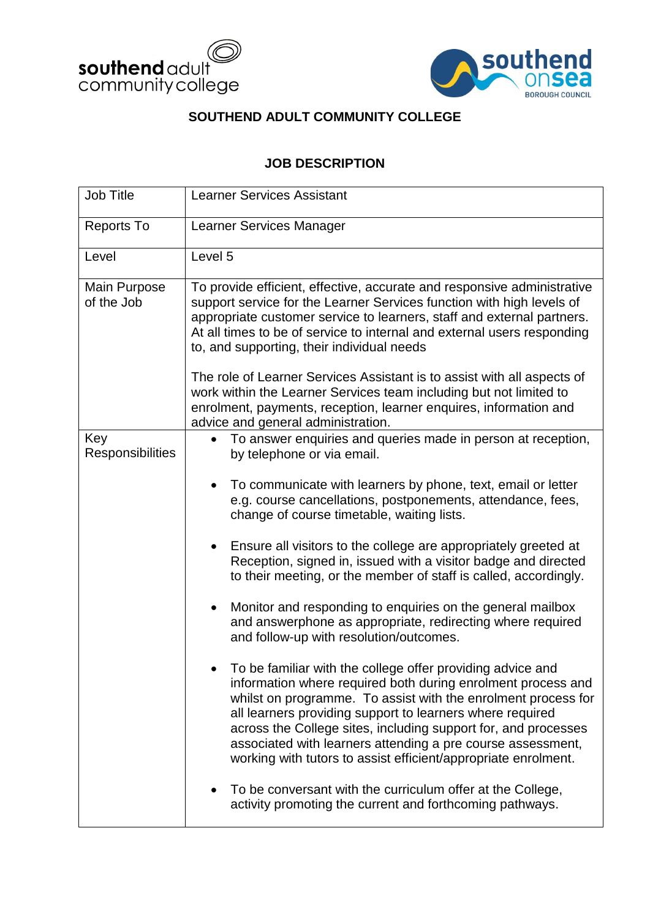



## **SOUTHEND ADULT COMMUNITY COLLEGE**

## **JOB DESCRIPTION**

| <b>Job Title</b>                  | <b>Learner Services Assistant</b>                                                                                                                                                                                                                                                                                                                                                                                                                           |  |  |  |
|-----------------------------------|-------------------------------------------------------------------------------------------------------------------------------------------------------------------------------------------------------------------------------------------------------------------------------------------------------------------------------------------------------------------------------------------------------------------------------------------------------------|--|--|--|
| <b>Reports To</b>                 | Learner Services Manager                                                                                                                                                                                                                                                                                                                                                                                                                                    |  |  |  |
| Level                             | Level 5                                                                                                                                                                                                                                                                                                                                                                                                                                                     |  |  |  |
| <b>Main Purpose</b><br>of the Job | To provide efficient, effective, accurate and responsive administrative<br>support service for the Learner Services function with high levels of<br>appropriate customer service to learners, staff and external partners.<br>At all times to be of service to internal and external users responding<br>to, and supporting, their individual needs<br>The role of Learner Services Assistant is to assist with all aspects of                              |  |  |  |
|                                   | work within the Learner Services team including but not limited to<br>enrolment, payments, reception, learner enquires, information and<br>advice and general administration.                                                                                                                                                                                                                                                                               |  |  |  |
| Key<br><b>Responsibilities</b>    | To answer enquiries and queries made in person at reception,<br>by telephone or via email.<br>To communicate with learners by phone, text, email or letter<br>e.g. course cancellations, postponements, attendance, fees,                                                                                                                                                                                                                                   |  |  |  |
|                                   | change of course timetable, waiting lists.                                                                                                                                                                                                                                                                                                                                                                                                                  |  |  |  |
|                                   | Ensure all visitors to the college are appropriately greeted at<br>Reception, signed in, issued with a visitor badge and directed<br>to their meeting, or the member of staff is called, accordingly.                                                                                                                                                                                                                                                       |  |  |  |
|                                   | Monitor and responding to enquiries on the general mailbox<br>$\bullet$<br>and answerphone as appropriate, redirecting where required<br>and follow-up with resolution/outcomes.                                                                                                                                                                                                                                                                            |  |  |  |
|                                   | To be familiar with the college offer providing advice and<br>information where required both during enrolment process and<br>whilst on programme. To assist with the enrolment process for<br>all learners providing support to learners where required<br>across the College sites, including support for, and processes<br>associated with learners attending a pre course assessment,<br>working with tutors to assist efficient/appropriate enrolment. |  |  |  |
|                                   | To be conversant with the curriculum offer at the College,<br>activity promoting the current and forthcoming pathways.                                                                                                                                                                                                                                                                                                                                      |  |  |  |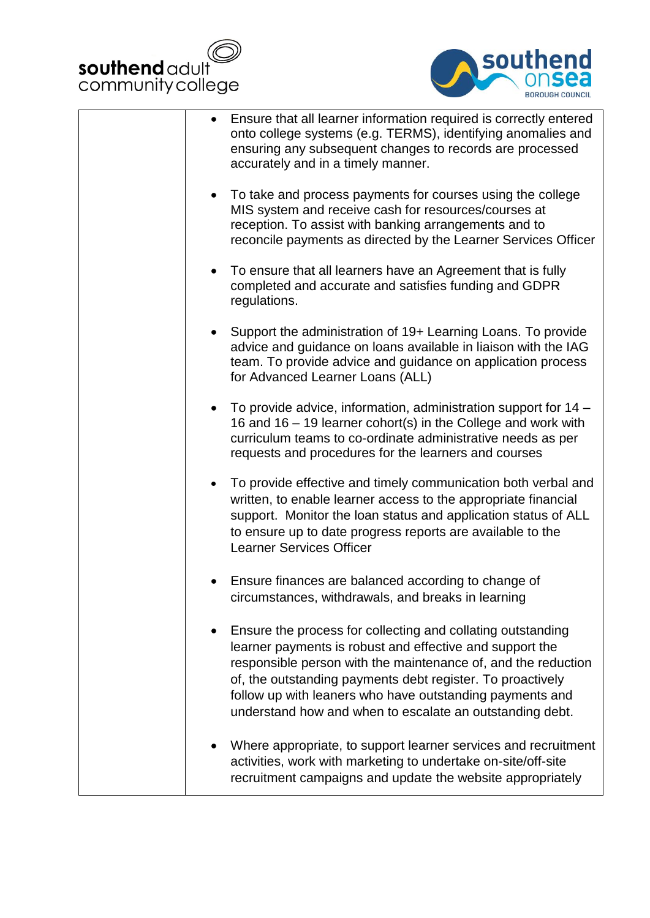



| Ensure that all learner information required is correctly entered<br>onto college systems (e.g. TERMS), identifying anomalies and<br>ensuring any subsequent changes to records are processed<br>accurately and in a timely manner.                                                                                                                                            |
|--------------------------------------------------------------------------------------------------------------------------------------------------------------------------------------------------------------------------------------------------------------------------------------------------------------------------------------------------------------------------------|
| To take and process payments for courses using the college<br>$\bullet$<br>MIS system and receive cash for resources/courses at<br>reception. To assist with banking arrangements and to<br>reconcile payments as directed by the Learner Services Officer                                                                                                                     |
| To ensure that all learners have an Agreement that is fully<br>completed and accurate and satisfies funding and GDPR<br>regulations.                                                                                                                                                                                                                                           |
| Support the administration of 19+ Learning Loans. To provide<br>advice and guidance on loans available in liaison with the IAG<br>team. To provide advice and guidance on application process<br>for Advanced Learner Loans (ALL)                                                                                                                                              |
| To provide advice, information, administration support for 14 –<br>16 and 16 – 19 learner cohort(s) in the College and work with<br>curriculum teams to co-ordinate administrative needs as per<br>requests and procedures for the learners and courses                                                                                                                        |
| To provide effective and timely communication both verbal and<br>written, to enable learner access to the appropriate financial<br>support. Monitor the loan status and application status of ALL<br>to ensure up to date progress reports are available to the<br><b>Learner Services Officer</b>                                                                             |
| Ensure finances are balanced according to change of<br>circumstances, withdrawals, and breaks in learning                                                                                                                                                                                                                                                                      |
| Ensure the process for collecting and collating outstanding<br>learner payments is robust and effective and support the<br>responsible person with the maintenance of, and the reduction<br>of, the outstanding payments debt register. To proactively<br>follow up with leaners who have outstanding payments and<br>understand how and when to escalate an outstanding debt. |
| Where appropriate, to support learner services and recruitment<br>activities, work with marketing to undertake on-site/off-site<br>recruitment campaigns and update the website appropriately                                                                                                                                                                                  |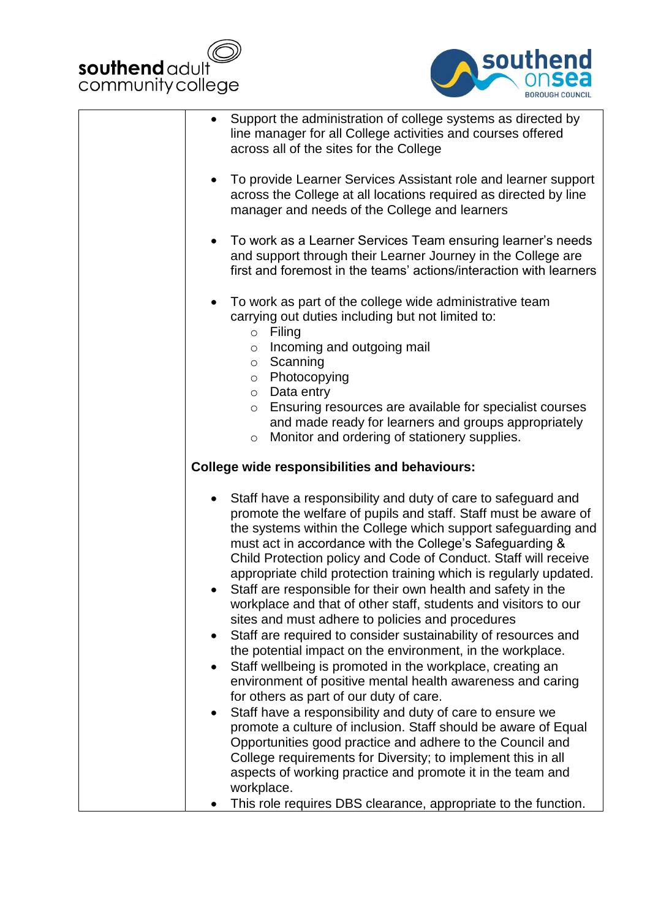



| Support the administration of college systems as directed by<br>line manager for all College activities and courses offered<br>across all of the sites for the College                                                                                                                                                                                                                                                                                                                                                                                                                                                                                                                                                                                                                                                                                                                                          |
|-----------------------------------------------------------------------------------------------------------------------------------------------------------------------------------------------------------------------------------------------------------------------------------------------------------------------------------------------------------------------------------------------------------------------------------------------------------------------------------------------------------------------------------------------------------------------------------------------------------------------------------------------------------------------------------------------------------------------------------------------------------------------------------------------------------------------------------------------------------------------------------------------------------------|
| To provide Learner Services Assistant role and learner support<br>across the College at all locations required as directed by line<br>manager and needs of the College and learners                                                                                                                                                                                                                                                                                                                                                                                                                                                                                                                                                                                                                                                                                                                             |
| To work as a Learner Services Team ensuring learner's needs<br>and support through their Learner Journey in the College are<br>first and foremost in the teams' actions/interaction with learners                                                                                                                                                                                                                                                                                                                                                                                                                                                                                                                                                                                                                                                                                                               |
| To work as part of the college wide administrative team<br>carrying out duties including but not limited to:<br>Filing<br>$\circ$<br>Incoming and outgoing mail<br>$\circ$<br>Scanning<br>O<br>Photocopying<br>$\circ$                                                                                                                                                                                                                                                                                                                                                                                                                                                                                                                                                                                                                                                                                          |
| Data entry<br>$\circ$<br>Ensuring resources are available for specialist courses<br>$\circ$<br>and made ready for learners and groups appropriately<br>Monitor and ordering of stationery supplies.<br>$\circ$                                                                                                                                                                                                                                                                                                                                                                                                                                                                                                                                                                                                                                                                                                  |
| <b>College wide responsibilities and behaviours:</b>                                                                                                                                                                                                                                                                                                                                                                                                                                                                                                                                                                                                                                                                                                                                                                                                                                                            |
| Staff have a responsibility and duty of care to safeguard and<br>promote the welfare of pupils and staff. Staff must be aware of<br>the systems within the College which support safeguarding and<br>must act in accordance with the College's Safeguarding &<br>Child Protection policy and Code of Conduct. Staff will receive<br>appropriate child protection training which is regularly updated.<br>Staff are responsible for their own health and safety in the<br>workplace and that of other staff, students and visitors to our<br>sites and must adhere to policies and procedures<br>Staff are required to consider sustainability of resources and<br>the potential impact on the environment, in the workplace.<br>Staff wellbeing is promoted in the workplace, creating an<br>$\bullet$<br>environment of positive mental health awareness and caring<br>for others as part of our duty of care. |
| Staff have a responsibility and duty of care to ensure we<br>$\bullet$<br>promote a culture of inclusion. Staff should be aware of Equal<br>Opportunities good practice and adhere to the Council and<br>College requirements for Diversity; to implement this in all<br>aspects of working practice and promote it in the team and<br>workplace.<br>This role requires DBS clearance, appropriate to the function.                                                                                                                                                                                                                                                                                                                                                                                                                                                                                             |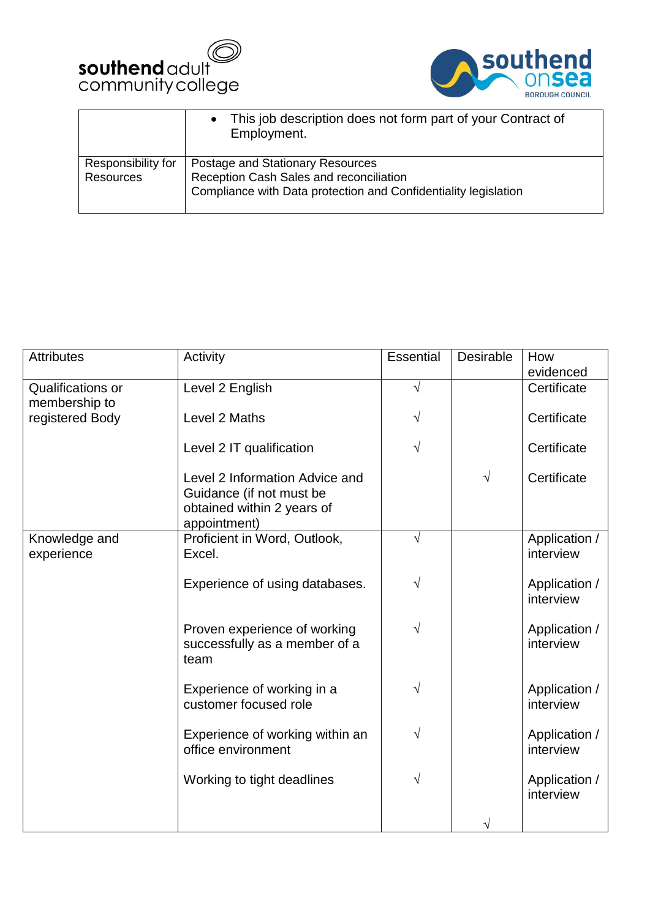



|                                        | • This job description does not form part of your Contract of<br>Employment.                                                                   |
|----------------------------------------|------------------------------------------------------------------------------------------------------------------------------------------------|
| Responsibility for<br><b>Resources</b> | Postage and Stationary Resources<br>Reception Cash Sales and reconciliation<br>Compliance with Data protection and Confidentiality legislation |
|                                        |                                                                                                                                                |

| <b>Attributes</b>                  | Activity                                                                                                 | Essential | <b>Desirable</b> | How                        |
|------------------------------------|----------------------------------------------------------------------------------------------------------|-----------|------------------|----------------------------|
|                                    |                                                                                                          |           |                  | evidenced                  |
| Qualifications or<br>membership to | Level 2 English                                                                                          | $\sqrt{}$ |                  | Certificate                |
| registered Body                    | Level 2 Maths                                                                                            | V         |                  | Certificate                |
|                                    | Level 2 IT qualification                                                                                 | $\sqrt{}$ |                  | Certificate                |
|                                    | Level 2 Information Advice and<br>Guidance (if not must be<br>obtained within 2 years of<br>appointment) |           | $\sqrt{ }$       | Certificate                |
| Knowledge and<br>experience        | Proficient in Word, Outlook,<br>Excel.                                                                   | $\sqrt{}$ |                  | Application /<br>interview |
|                                    | Experience of using databases.                                                                           | $\sqrt{}$ |                  | Application /<br>interview |
|                                    | Proven experience of working<br>successfully as a member of a<br>team                                    | $\sqrt{}$ |                  | Application /<br>interview |
|                                    | Experience of working in a<br>customer focused role                                                      | V         |                  | Application /<br>interview |
|                                    | Experience of working within an<br>office environment                                                    | V         |                  | Application /<br>interview |
|                                    | Working to tight deadlines                                                                               | V         |                  | Application /<br>interview |
|                                    |                                                                                                          |           |                  |                            |